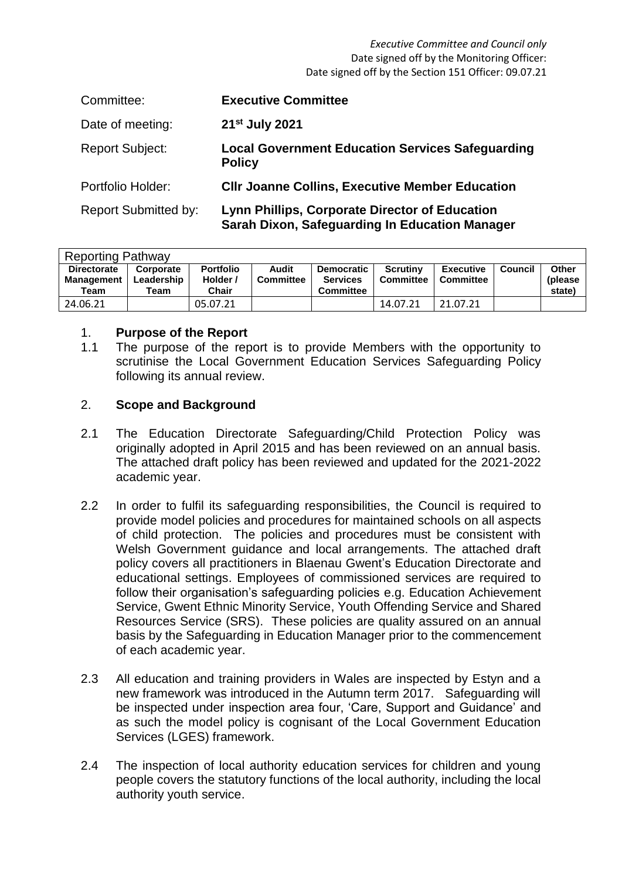#### *Executive Committee and Council only* Date signed off by the Monitoring Officer: Date signed off by the Section 151 Officer: 09.07.21

| Committee:                  | <b>Executive Committee</b>                                                                                     |
|-----------------------------|----------------------------------------------------------------------------------------------------------------|
| Date of meeting:            | 21 <sup>st</sup> July 2021                                                                                     |
| <b>Report Subject:</b>      | <b>Local Government Education Services Safeguarding</b><br><b>Policy</b>                                       |
| <b>Portfolio Holder:</b>    | <b>CIIr Joanne Collins, Executive Member Education</b>                                                         |
| <b>Report Submitted by:</b> | <b>Lynn Phillips, Corporate Director of Education</b><br><b>Sarah Dixon, Safeguarding In Education Manager</b> |

| <b>Reporting Pathway</b> |            |                  |                  |                   |                  |                  |         |          |  |  |
|--------------------------|------------|------------------|------------------|-------------------|------------------|------------------|---------|----------|--|--|
| <b>Directorate</b>       | Corporate  | <b>Portfolio</b> | Audit            | <b>Democratic</b> | <b>Scrutiny</b>  | <b>Executive</b> | Council | Other    |  |  |
| Management               | Leadership | Holder /         | <b>Committee</b> | <b>Services</b>   | <b>Committee</b> | <b>Committee</b> |         | (please) |  |  |
| Team                     | Team       | Chair            |                  | <b>Committee</b>  |                  |                  |         | state)   |  |  |
| 24.06.21                 |            | 05.07.21         |                  |                   | 14.07.21         | 21.07.21         |         |          |  |  |

#### 1. **Purpose of the Report**

1.1 The purpose of the report is to provide Members with the opportunity to scrutinise the Local Government Education Services Safeguarding Policy following its annual review.

# 2. **Scope and Background**

- 2.1 The Education Directorate Safeguarding/Child Protection Policy was originally adopted in April 2015 and has been reviewed on an annual basis. The attached draft policy has been reviewed and updated for the 2021-2022 academic year.
- 2.2 In order to fulfil its safeguarding responsibilities, the Council is required to provide model policies and procedures for maintained schools on all aspects of child protection. The policies and procedures must be consistent with Welsh Government guidance and local arrangements. The attached draft policy covers all practitioners in Blaenau Gwent's Education Directorate and educational settings. Employees of commissioned services are required to follow their organisation's safeguarding policies e.g. Education Achievement Service, Gwent Ethnic Minority Service, Youth Offending Service and Shared Resources Service (SRS). These policies are quality assured on an annual basis by the Safeguarding in Education Manager prior to the commencement of each academic year.
- 2.3 All education and training providers in Wales are inspected by Estyn and a new framework was introduced in the Autumn term 2017. Safeguarding will be inspected under inspection area four, 'Care, Support and Guidance' and as such the model policy is cognisant of the Local Government Education Services (LGES) framework.
- 2.4 The inspection of local authority education services for children and young people covers the statutory functions of the local authority, including the local authority youth service.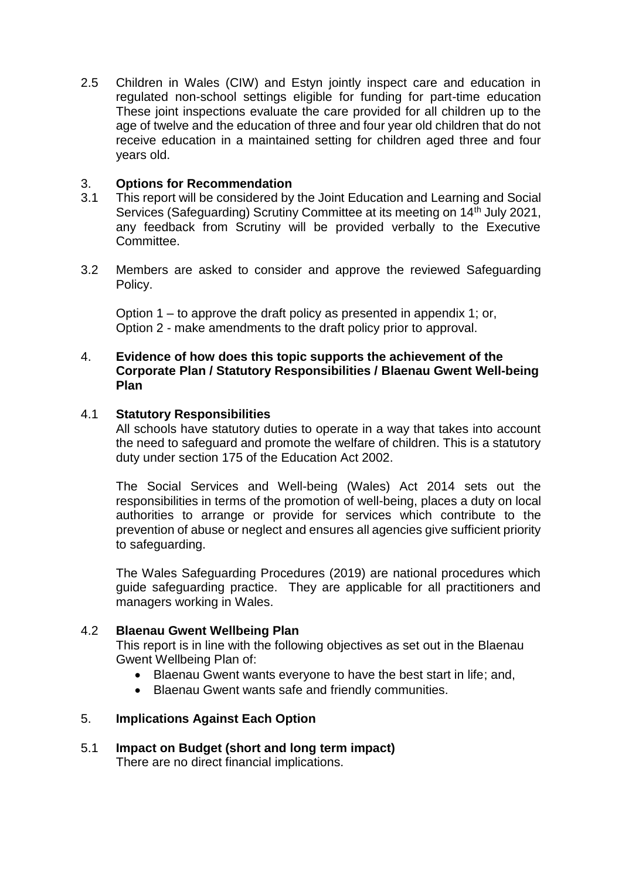2.5 Children in Wales (CIW) and Estyn jointly inspect care and education in regulated non-school settings eligible for funding for part-time education These joint inspections evaluate the care provided for all children up to the age of twelve and the education of three and four year old children that do not receive education in a maintained setting for children aged three and four years old.

### 3. **Options for Recommendation**

- 3.1 This report will be considered by the Joint Education and Learning and Social Services (Safeguarding) Scrutiny Committee at its meeting on 14<sup>th</sup> July 2021, any feedback from Scrutiny will be provided verbally to the Executive Committee.
- 3.2 Members are asked to consider and approve the reviewed Safeguarding Policy.

Option 1 – to approve the draft policy as presented in appendix 1; or, Option 2 - make amendments to the draft policy prior to approval.

#### 4. **Evidence of how does this topic supports the achievement of the Corporate Plan / Statutory Responsibilities / Blaenau Gwent Well-being Plan**

#### 4.1 **Statutory Responsibilities**

All schools have statutory duties to operate in a way that takes into account the need to safeguard and promote the welfare of children. This is a statutory duty under section 175 of the Education Act 2002.

The Social Services and Well-being (Wales) Act 2014 sets out the responsibilities in terms of the promotion of well-being, places a duty on local authorities to arrange or provide for services which contribute to the prevention of abuse or neglect and ensures all agencies give sufficient priority to safeguarding.

The Wales Safeguarding Procedures (2019) are national procedures which guide safeguarding practice. They are applicable for all practitioners and managers working in Wales.

#### 4.2 **Blaenau Gwent Wellbeing Plan**

This report is in line with the following objectives as set out in the Blaenau Gwent Wellbeing Plan of:

- Blaenau Gwent wants everyone to have the best start in life; and,
- Blaenau Gwent wants safe and friendly communities.

# 5. **Implications Against Each Option**

5.1 **Impact on Budget (short and long term impact)** There are no direct financial implications.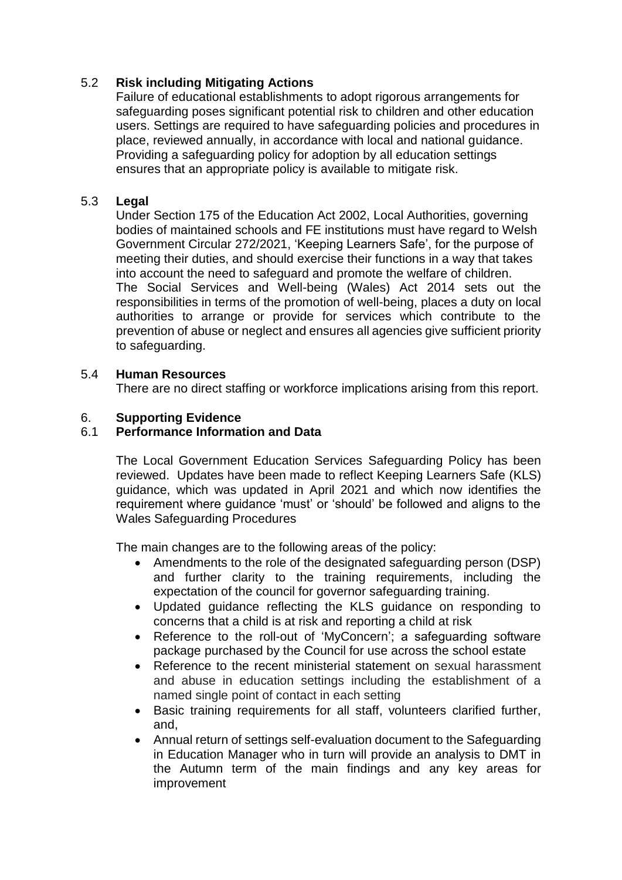# 5.2 **Risk including Mitigating Actions**

Failure of educational establishments to adopt rigorous arrangements for safeguarding poses significant potential risk to children and other education users. Settings are required to have safeguarding policies and procedures in place, reviewed annually, in accordance with local and national guidance. Providing a safeguarding policy for adoption by all education settings ensures that an appropriate policy is available to mitigate risk.

# 5.3 **Legal**

Under Section 175 of the Education Act 2002, Local Authorities, governing bodies of maintained schools and FE institutions must have regard to Welsh Government Circular 272/2021, 'Keeping Learners Safe', for the purpose of meeting their duties, and should exercise their functions in a way that takes into account the need to safeguard and promote the welfare of children. The Social Services and Well-being (Wales) Act 2014 sets out the responsibilities in terms of the promotion of well-being, places a duty on local authorities to arrange or provide for services which contribute to the prevention of abuse or neglect and ensures all agencies give sufficient priority to safeguarding.

### 5.4 **Human Resources**

There are no direct staffing or workforce implications arising from this report.

# 6. **Supporting Evidence**

# 6.1 **Performance Information and Data**

The Local Government Education Services Safeguarding Policy has been reviewed. Updates have been made to reflect Keeping Learners Safe (KLS) guidance, which was updated in April 2021 and which now identifies the requirement where guidance 'must' or 'should' be followed and aligns to the Wales Safeguarding Procedures

The main changes are to the following areas of the policy:

- Amendments to the role of the designated safeguarding person (DSP) and further clarity to the training requirements, including the expectation of the council for governor safeguarding training.
- Updated guidance reflecting the KLS guidance on responding to concerns that a child is at risk and reporting a child at risk
- Reference to the roll-out of 'MyConcern'; a safeguarding software package purchased by the Council for use across the school estate
- Reference to the recent ministerial statement on sexual harassment and abuse in education settings including the establishment of a named single point of contact in each setting
- Basic training requirements for all staff, volunteers clarified further, and,
- Annual return of settings self-evaluation document to the Safeguarding in Education Manager who in turn will provide an analysis to DMT in the Autumn term of the main findings and any key areas for improvement